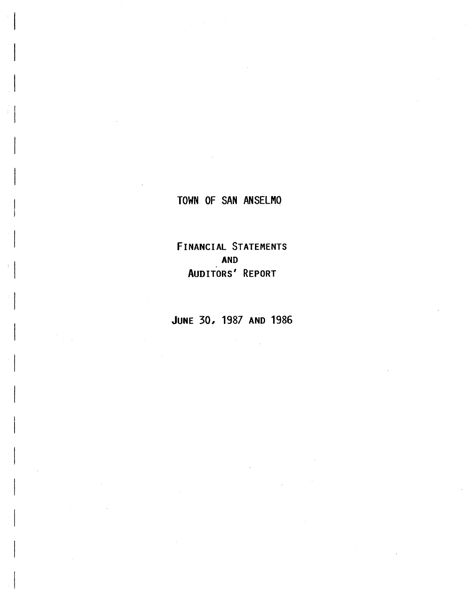I

I

:  $\begin{array}{c} \begin{array}{c} \begin{array}{c} \begin{array}{c} \end{array} \end{array} \\ \begin{array}{c} \end{array} \end{array} \end{array}$ 

 $\begin{array}{c} \hline \end{array}$ 

FINANCIAL STATEMENTS AND AUDITORS' REPORT

JUNE 30, 1987 AND 1986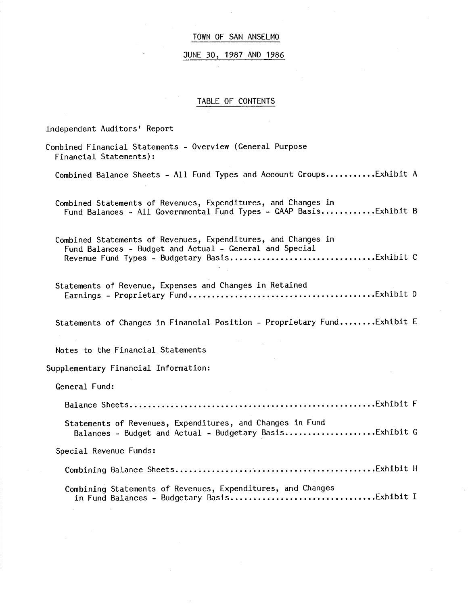# JUNE 30, 1987 AND 1986

# TABLE OF CONTENTS

Independent Auditors' Report

 $\bar{z}$ 

| Combined Financial Statements - Overview (General Purpose<br>Financial Statements):                                                |
|------------------------------------------------------------------------------------------------------------------------------------|
| Combined Balance Sheets - All Fund Types and Account GroupsExhibit A                                                               |
| Combined Statements of Revenues, Expenditures, and Changes in<br>Fund Balances - All Governmental Fund Types - GAAP BasisExhibit B |
| Combined Statements of Revenues, Expenditures, and Changes in<br>Fund Balances - Budget and Actual - General and Special           |
| Statements of Revenue, Expenses and Changes in Retained                                                                            |
| Statements of Changes in Financial Position - Proprietary Fund Exhibit E                                                           |
| Notes to the Financial Statements                                                                                                  |
| Supplementary Financial Information:                                                                                               |
| General Fund:                                                                                                                      |
|                                                                                                                                    |
| Statements of Revenues, Expenditures, and Changes in Fund<br>Balances - Budget and Actual - Budgetary BasisExhibit G               |
| Special Revenue Funds:                                                                                                             |
|                                                                                                                                    |
| Combining Statements of Revenues, Expenditures, and Changes                                                                        |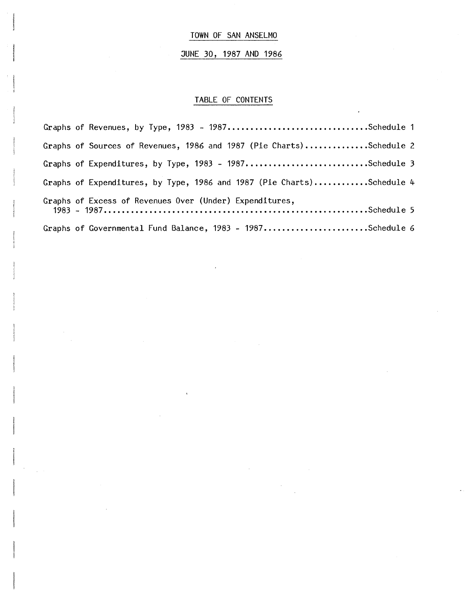# JUNE 30, 1987 AND 1986

# TABLE OF CONTENTS

| Graphs of Revenues, by Type, 1983 - 1987Schedule 1                    |  |
|-----------------------------------------------------------------------|--|
| Graphs of Sources of Revenues, 1986 and 1987 (Pie Charts)Schedule 2   |  |
| Graphs of Expenditures, by Type, 1983 - 1987Schedule 3                |  |
| Graphs of Expenditures, by Type, 1986 and 1987 (Pie Charts)Schedule 4 |  |
| Graphs of Excess of Revenues Over (Under) Expenditures,               |  |
| Graphs of Governmental Fund Balance, 1983 - 1987Schedule 6            |  |

 $\alpha$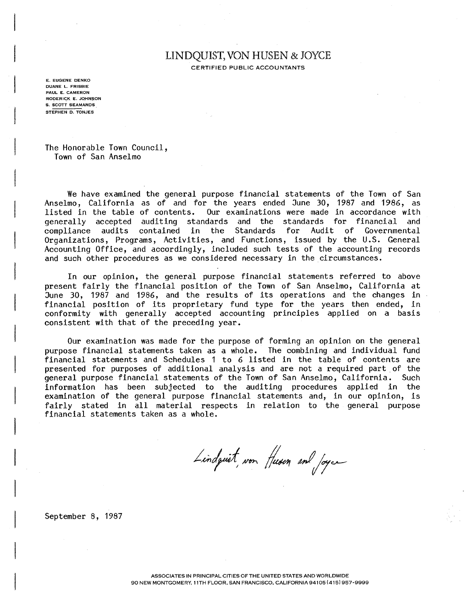# LINDQUIST, VON HUSEN & JOYCE

CERTIFIED PUBLIC ACCOUNTANTS

E. EUGENE DENKO DUANE L. FRISBIE PAUL E. CAMERON RODERICK E. JOHNSON S. SCOTT SEAMANDS STEPHEN D. TONJES

The Honorable Town Council, Town of San Anselmo

We have examined the general purpose financial statements of the Town of San Anselmo, California as of and for the years ended June 30, 1987 and 1986, as listed in the table of contents. Our examinations were made in accordance with generally accepted auditing standards and the standards for financial and compliance audits contained in the Standards for Audit of Governmental Organizations, Programs, Activities, and Functions, issued by the U.S. General Accounting Office, and accordingly, included such tests of the accounting records and such other procedures as we considered necessary in the circumstances.

In our opinion, the general purpose financial statements referred to above present fairly the financial position of the Town of San Anselmo, California at June 30, 1987 and 1986, and the results of its operations and the changes in financial position of its proprietary fund type for the years then ended, in conformity with generally accepted accounting principles applied on a basis consistent with that of the preceding year.

Our examination was made for the purpose of forming an opinion on the general purpose financial statements taken as a whole. The combining and individual fund financial statements and Schedules 1 to 6 listed in the table of contents are presented for purposes of additional analysis and are not a required part. of the general purpose financial statements of the Town of San Anselmo, California. Such information has been subjected to the auditing procedures applied in the examination of the general purpose financial statements and, in our opinion, is fairly stated in all material respects in relation to the general purpose financial statements taken as a whole.

Lindquist, von Husen and Joyce

September 8, 1987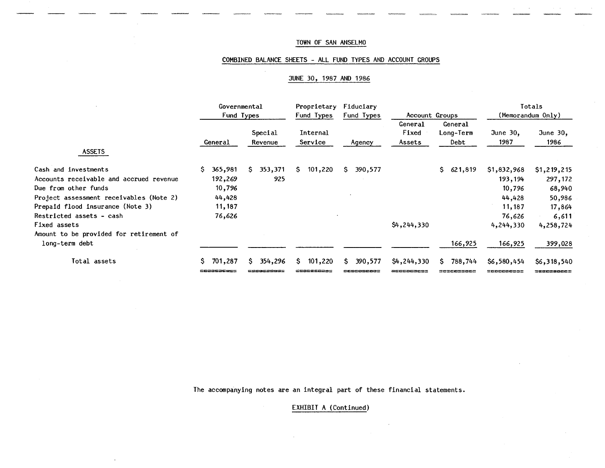#### COMBINED BALANCE SHEETS - ALL FUND TYPES AND ACCOUNT GROUPS

# JUNE 30, 1987 AND 1986

|                                         | Governmental<br>Fund Types |                    | Proprietary<br>Fund Types | Fiduciary<br>Fund Types | Account Groups             |                              | Totals<br>(Memorandum Only) |                  |  |  |
|-----------------------------------------|----------------------------|--------------------|---------------------------|-------------------------|----------------------------|------------------------------|-----------------------------|------------------|--|--|
|                                         | General                    | Special<br>Revenue | Internal<br>Service       | Agency                  | General<br>Fixed<br>Assets | General<br>Long-Term<br>Debt | June 30,<br>1987            | June 30,<br>1986 |  |  |
| <b>ASSETS</b>                           |                            |                    |                           |                         |                            |                              |                             |                  |  |  |
| Cash and investments                    | S.<br>365,981              | 353,371<br>S.      | 101,220<br>S.             | S.<br>390,577           |                            | \$621,819                    | \$1,832,968                 | \$1,219,215      |  |  |
| Accounts receivable and accrued revenue | 192,269                    | 925                |                           |                         |                            |                              | 193,194                     | 297,172          |  |  |
| Due from other funds                    | 10,796                     |                    |                           |                         |                            |                              | 10,796                      | 68,940           |  |  |
| Project assessment receivables (Note 2) | 44,428                     |                    |                           |                         |                            |                              | 44,428                      | 50,986           |  |  |
| Prepaid flood insurance (Note 3)        | 11,187                     |                    |                           |                         |                            |                              | 11,187                      | 17,864           |  |  |
| Restricted assets - cash                | 76,626                     |                    |                           |                         |                            |                              | 76,626                      | 6,611            |  |  |
| Fixed assets                            |                            |                    |                           |                         | \$4,244,330                |                              | 4,244,330                   | 4,258,724        |  |  |
| Amount to be provided for retirement of |                            |                    |                           |                         |                            |                              |                             |                  |  |  |
| long-term debt                          |                            |                    |                           |                         |                            | 166,925                      | 166,925                     | 399,028          |  |  |
| Total assets                            | 701,287<br>S.              | S.<br>354,296      | 101,220<br>S.             | 390,577<br>S.           | \$4,244,330                | 788,744<br>S.                | \$6,580,454                 | \$6,318,540      |  |  |
|                                         | 2023536253                 |                    |                           | ac0e00@0@=              |                            |                              | ----------                  | 288888886        |  |  |

The accompanying notes are an integral part of these financial statements.

# EXHIBIT A (Continued)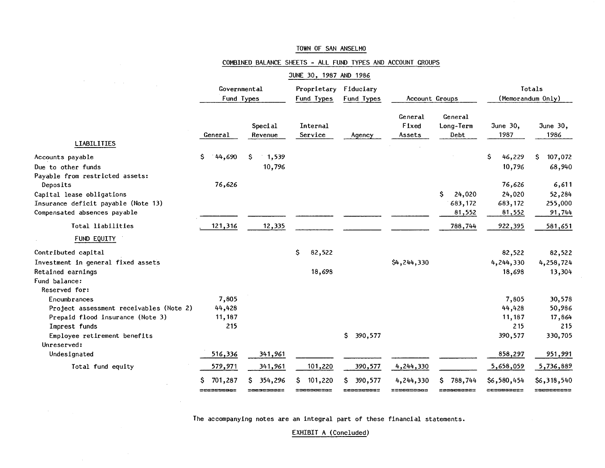# COMBINED BALANCE SHEETS - ALL FUND TYPES AND ACCOUNT GROUPS

|                                                                           |                            |                 |                                                      |                    | JUNE 30, 1987 AND 1986 |                     |    |                             |                            |                              |     |                  |    |                       |
|---------------------------------------------------------------------------|----------------------------|-----------------|------------------------------------------------------|--------------------|------------------------|---------------------|----|-----------------------------|----------------------------|------------------------------|-----|------------------|----|-----------------------|
| $\alpha$ and $\alpha$                                                     | Governmental<br>Fund Types |                 | Proprietary<br>Fiduciary<br>Fund Types<br>Fund Types |                    | Account Groups         |                     |    | Totals<br>(Memorandum Only) |                            |                              |     |                  |    |                       |
| LIABILITIES                                                               |                            | General         |                                                      | Special<br>Revenue |                        | Internal<br>Service |    | Agency                      | General<br>Fixed<br>Assets | General<br>Long-Term<br>Debt |     | June 30,<br>1987 |    | June 30,<br>1986      |
|                                                                           |                            |                 |                                                      |                    |                        |                     |    |                             |                            |                              |     |                  |    |                       |
| Accounts payable<br>Due to other funds<br>Payable from restricted assets: | S.                         | 44,690          | S.                                                   | 1,539<br>10,796    |                        |                     |    |                             |                            |                              | \$. | 46,229<br>10,796 | Ŝ. | 107,072<br>68,940     |
| Deposits                                                                  |                            | 76,626          |                                                      |                    |                        |                     |    |                             |                            |                              |     | 76,626           |    | 6,611                 |
| Capital lease obligations                                                 |                            |                 |                                                      |                    |                        |                     |    |                             |                            | Ŝ<br>24,020                  |     | 24,020           |    | 52,284                |
| Insurance deficit payable (Note 13)                                       |                            |                 |                                                      |                    |                        |                     |    |                             |                            | 683,172                      |     | 683,172          |    | 255,000               |
| Compensated absences payable                                              |                            |                 |                                                      |                    |                        |                     |    |                             |                            | 81,552                       |     | 81,552           |    | 91,744                |
| Total liabilities                                                         |                            | 121,316         |                                                      | 12,335             |                        |                     |    |                             |                            | 788,744                      |     | 922,395          |    | 581,651               |
| FUND EQUITY                                                               |                            |                 |                                                      |                    |                        |                     |    |                             |                            |                              |     |                  |    |                       |
| Contributed capital                                                       |                            |                 |                                                      |                    | S.                     | 82,522              |    |                             |                            |                              |     | 82,522           |    | 82,522                |
| Investment in general fixed assets                                        |                            |                 |                                                      |                    |                        |                     |    |                             | \$4,244,330                |                              |     | 4,244,330        |    | 4,258,724             |
| Retained earnings                                                         |                            |                 |                                                      |                    |                        | 18,698              |    |                             |                            |                              |     | 18,698           |    | 13,304                |
| Fund balance:                                                             |                            |                 |                                                      |                    |                        |                     |    |                             |                            |                              |     |                  |    |                       |
| Reserved for:                                                             |                            |                 |                                                      |                    |                        |                     |    |                             |                            |                              |     |                  |    |                       |
| Encumbrances<br>Project assessment receivables (Note 2)                   |                            | 7,805<br>44,428 |                                                      |                    |                        |                     |    |                             |                            |                              |     | 7,805<br>44,428  |    | 30,578<br>50,986      |
| Prepaid flood insurance (Note 3)                                          |                            | 11,187          |                                                      |                    |                        |                     |    |                             |                            |                              |     | 11,187           |    | 17,864                |
| Imprest funds                                                             |                            | 215             |                                                      |                    |                        |                     |    |                             |                            |                              |     | 215              |    | 215                   |
| Employee retirement benefits                                              |                            |                 |                                                      |                    |                        |                     | Ŝ. | 390,577                     |                            |                              |     | 390,577          |    | 330,705               |
| Unreserved:                                                               |                            |                 |                                                      |                    |                        |                     |    |                             |                            |                              |     |                  |    |                       |
| Undesignated                                                              |                            | 516,336         |                                                      | 341,961            |                        |                     |    |                             |                            |                              |     | 858,297          |    | 951,991               |
| Total fund equity                                                         |                            | 579,971         |                                                      | 341,961            |                        | 101,220             |    | 390,577                     | 4,244,330                  |                              |     | 5,658,059        |    | 5,736,889             |
|                                                                           | S.                         | 701,287         |                                                      | \$354,296          |                        | \$101,220           | S. | 390,577                     | 4,244,330                  | \$788,744                    |     | \$6,580,454      |    | \$6,318,540           |
|                                                                           |                            | ==========      |                                                      | ==========         |                        | ==========          |    | sebcxcx0#=                  | 200000000002               | ========                     |     |                  |    | $\texttt{2002222223}$ |

The accompanying notes are an integral part of these financial statements.

EXHIBIT A (Concluded)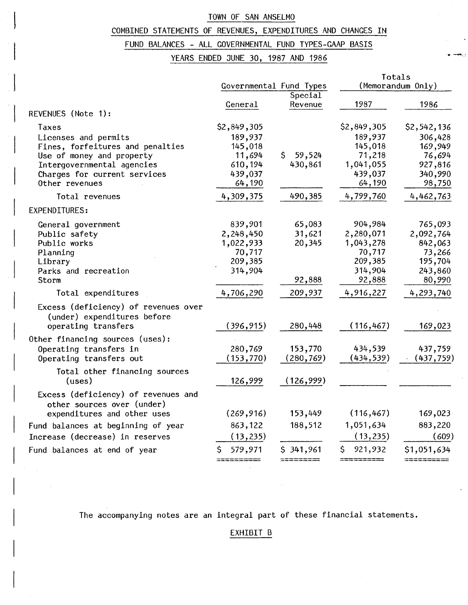# COMBINED STATEMENTS OF REVENUES, EXPENDITURES AND CHANGES IN

# FUND BALANCES - ALL GOVERNMENTAL FUND TYPES-GAAP BASIS

YEARS ENDED JUNE 30, 1987 AND 1986

|                                      |             | Governmental Fund Types | Totals                          | (Memorandum Only) |
|--------------------------------------|-------------|-------------------------|---------------------------------|-------------------|
|                                      |             | Special                 |                                 |                   |
|                                      | General     | Revenue                 | 1987                            | 1986              |
| REVENUES (Note 1):                   |             |                         |                                 |                   |
| Taxes                                | \$2,849,305 |                         | \$2,849,305                     | \$2,542,136       |
| Licenses and permits                 | 189,937     |                         | 189,937                         | 306,428           |
| Fines, forfeitures and penalties     | 145,018     |                         | 145,018                         | 169,949           |
| Use of money and property            | 11,694      | 59,524<br>S.            | 71,218                          | 76,694            |
| Intergovernmental agencies           | 610,194     | 430,861                 | 1,041,055                       | 927,816           |
| Charges for current services         | 439,037     |                         | 439,037                         | 340,990           |
| Other revenues                       | 64,190      |                         | 64,190                          | 98,750            |
| Total revenues                       | 4,309,375   | 490,385                 | 4,799,760                       | 4,462,763         |
| EXPENDITURES:                        |             |                         |                                 |                   |
| General government                   | 839,901     | 65,083                  | 904,984                         | 765,093           |
| Public safety                        | 2,248,450   | 31,621                  | 2,280,071                       | 2,092,764         |
| Public works                         | 1,022,933   | 20,345                  | 1,043,278                       | 842,063           |
| Planning                             | 70,717      |                         | 70,717                          | 73,266            |
| Library                              | 209,385     |                         | 209,385                         | 195,704           |
| Parks and recreation                 | 314,904     |                         | 314,904                         | 243,860           |
| Storm                                |             | 92,888                  | 92,888                          | 80,990            |
| Total expenditures                   | 4,706,290   | 209,937                 | 4,916,227                       | 4,293,740         |
| Excess (deficiency) of revenues over |             |                         |                                 |                   |
| (under) expenditures before          |             |                         |                                 |                   |
| operating transfers                  | (396, 915)  | 280,448                 | (116, 467)                      | 169,023           |
| Other financing sources (uses):      |             |                         |                                 |                   |
| Operating transfers in               | 280,769     | 153,770                 | 434,539                         | 437,759           |
| Operating transfers out              | (153, 770)  | (280, 769)              | (434, 539)                      | (437, 759)        |
|                                      |             |                         |                                 |                   |
| Total other financing sources        |             |                         |                                 |                   |
| (uses)                               | 126,999     | (126, 999)              |                                 |                   |
| Excess (deficiency) of revenues and  |             |                         |                                 |                   |
| other sources over (under)           |             |                         |                                 |                   |
| expenditures and other uses          | (269, 916)  | 153,449                 | (116, 467)                      | 169,023           |
| Fund balances at beginning of year   | 863,122     | 188,512                 | 1,051,634                       | 883,220           |
| Increase (decrease) in reserves      | (13, 235)   |                         | (13, 235)                       | (609)             |
| Fund balances at end of year         | 579,971     | \$341,961               | 921,932<br>\$                   | \$1,051,634       |
|                                      |             | =========               | <u> - - - - - - - - - - - -</u> | ==========        |

The accompanying notes are an integral part of these financial statements.

# EXHIBIT B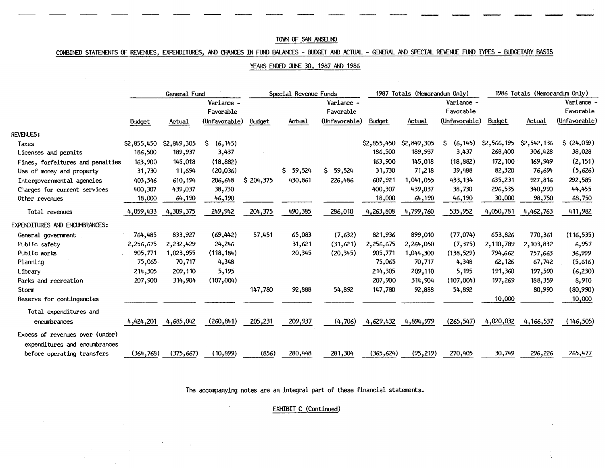# COMBINED STATEMENTS OF REVENLES, EXPENDITURES, AND CHANGES IN FUND BALANCES - BUDGET AND ACTUAL - GENERAL AND SPECIAL REVENLE FUND TYPES - BUDGETARY BASIS

#### YEARS ENDED JUNE 30, 1987 AND 1986

 $\sim$ 

 $\sim$ 

 $\sim$ 

|                                       | General Fund |             |               |               | Special Revenue Funds |               |               | 1987 Totals (Memorandum Only) |                |             | 1986 Totals (Memorandum Only) |               |  |
|---------------------------------------|--------------|-------------|---------------|---------------|-----------------------|---------------|---------------|-------------------------------|----------------|-------------|-------------------------------|---------------|--|
|                                       |              |             | Variance -    |               |                       | Variance -    |               |                               | Variance -     |             |                               | Variance -    |  |
|                                       |              |             | Favorable     |               |                       | Favorable     |               |                               | Favorable      |             |                               | Favorable     |  |
|                                       | Budget       | Actual      | (Unfavorable) | <b>Budget</b> | Actual                | (Unfavorable) | <b>Budget</b> | Actual                        | (Unfavorable)  | Budget      | Actual                        | (Unfavorable) |  |
| <b>REVENUES:</b>                      |              |             |               |               |                       |               |               |                               |                |             |                               |               |  |
| Taxes                                 | \$2,855,450  | \$2,849,305 | (6, 145)<br>S |               |                       |               | \$2,855,450   | \$2,849,305                   | S.<br>(6, 145) | \$2,566,195 | \$2,542,136                   | \$(24,059)    |  |
| Licenses and permits                  | 186,500      | 189,937     | 3,437         |               |                       |               | 186,500       | 189,937                       | 3,437          | 268,400     | 306,428                       | 38,028        |  |
| Fines, forfeitures and penalties      | 163,900      | 145,018     | (18, 882)     |               |                       |               | 163,900       | 145,018                       | (18, 882)      | 172,100     | 169,949                       | (2, 151)      |  |
| Use of money and property             | 31,730       | 11,694      | (20, 036)     |               | \$59,524              | \$59,524      | 31,730        | 71,218                        | 39,488         | 82,320      | 76,694                        | (5,626)       |  |
| Intergovernmental agencies            | 403,546      | 610, 194    | 206,648       | \$204,375     | 430,861               | 226,486       | 607,921       | 1,041,055                     | 433,134        | 635,231     | 927,816                       | 292,585       |  |
| Charges for current services          | 400,307      | 439,037     | 38,730        |               |                       |               | 400,307       | 439,037                       | 38,730         | 296,535     | 340,990                       | 44,455        |  |
| Other revenues                        | 18,000       | 64,190      | 46,190        |               |                       |               | 18,000        | 64,190                        | 46,190         | 30,000      | 98,750                        | 68,750        |  |
| Total revenues                        | 4,059,433    | 4,309,375   | 249,942       | 204,375       | 490,385               | 286,010       | 4,263,808     | 4,799,760                     | 535,952        | 4,050,781   | 4,462,763                     | 411,982       |  |
| <b>EXPENDITURES AND ENCUMBRANCES:</b> |              |             |               |               |                       |               |               |                               |                |             |                               |               |  |
| General government                    | 764,485      | 833,927     | (69, 442)     | 57,451        | 65,083                | (7,632)       | 821,936       | 899,010                       | (77, 074)      | 653,826     | 770,361                       | (116, 535)    |  |
| Public safety                         | 2,256,675    | 2,232,429   | 24,246        |               | 31,621                | (31,621)      | 2,256,675     | 2,264,050                     | (7, 375)       | 2,110,789   | 2,103,832                     | 6,957         |  |
| Public works                          | 905,771      | 1,023,955   | (118, 184)    |               | 20,345                | (20, 345)     | 905,771       | 1,044,300                     | (138, 529)     | 794,662     | 757,663                       | 36,999        |  |
| Planning                              | 75,065       | 70,717      | 4,348         |               |                       |               | 75,065        | 70,717                        | 4,348          | 62,126      | 67,742                        | (5,616)       |  |
| Library                               | 214,305      | 209,110     | 5,195         |               |                       |               | 214,305       | 209,110                       | 5,195          | 191,360     | 197,590                       | (6,230)       |  |
| Parks and recreation                  | 207,900      | 314,904     | (107, 004)    |               |                       |               | 207,900       | 314,904                       | (107, 004)     | 197,269     | 188,359                       | 8,910         |  |
| Storm                                 |              |             |               | 147,780       | 92,888                | 54,892        | 147,780       | 92,888                        | 54,892         |             | 80,990                        | (80,990)      |  |
| Reserve for contingencies             |              |             |               |               |                       |               |               |                               |                | 10,000      |                               | 10,000        |  |
| Total expenditures and                |              |             |               |               |                       |               |               |                               |                |             |                               |               |  |
| encumbrances                          | 4,424,201    | 4,685,042   | (260, 841)    | 205,231       | 209,937               | (4,706)       | 4,629,432     | 4,894,979                     | (265, 547)     | 4,020,032   | 4,166,537                     | (146, 505)    |  |
| Excess of revenues over (under)       |              |             |               |               |                       |               |               |                               |                |             |                               |               |  |
| expenditures and encumbrances         |              |             |               |               |                       |               |               |                               |                |             |                               |               |  |
| before operating transfers            | (364, 768)   | (375, 667)  | (10, 899)     | (856)         | 280,448               | 281,304       | (365, 624)    | (95, 219)                     | 270,405        | 30,749      | 296,226                       | 265,477       |  |

The accompanying notes are an integral part of these financial statements.

EXHIBIT C (Continued)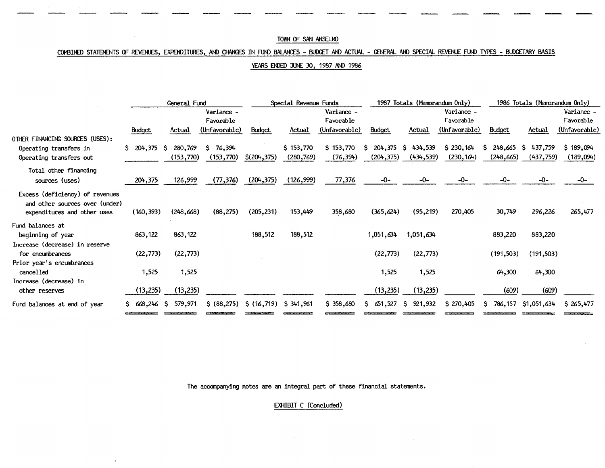# COMBINED STATEMENTS OF REVENUES, EXPENDITURES, AND CHANGES IN FUND BALANCES - BUDGET AND ACTUAL - GENERAL AND SPECIAL REVENUE FUND TYPES - BUDGETARY BASIS

#### YEARS ENDED JUNE 30, 1987 AND 1986

|                                                                   |               | General Fund    |               | Special Revenue Funds |            |               |                  | 1987 Totals (Memorandum Only) |               |                  | 1986 Totals (Memorandum Only) |               |  |
|-------------------------------------------------------------------|---------------|-----------------|---------------|-----------------------|------------|---------------|------------------|-------------------------------|---------------|------------------|-------------------------------|---------------|--|
|                                                                   |               |                 | Variance -    |                       |            | Variance -    |                  |                               | Variance -    |                  |                               | Variance -    |  |
|                                                                   |               |                 | Favorable     |                       |            | Favorable     |                  |                               | Favorable     |                  |                               | Favorable     |  |
|                                                                   | <b>Budget</b> | Actual          | (Unfavorable) | Budget                | Actual     | (Unfavorable) | Budget           | Actual                        | (Unfavorable) | Budget           | Actual                        | (Unfavorable) |  |
| OTHER FINANCING SOURCES (USES):                                   |               |                 |               |                       |            |               |                  |                               |               |                  |                               |               |  |
| Operating transfers in                                            | \$204,375     | 280,769<br>- \$ | \$76,394      |                       | \$153,770  | \$153,770     | 204,375 \$<br>S. | 434,539                       | \$230,164     | 248,665 \$<br>S. | 437,759                       | \$189,094     |  |
| Operating transfers out                                           |               | (153, 770)      | (153, 770)    | $$$ (204,375)         | (280, 769) | (76, 394)     | (204, 375)       | (434, 539)                    | (230, 164)    | (248, 665)       | (437,759)                     | (189,094)     |  |
| Total other financing                                             |               |                 |               |                       |            |               |                  |                               |               |                  |                               |               |  |
| sources (uses)                                                    | 204,375       | 126,999         | (77, 376)     | (204, 375)            | (126, 999) | 77,376        | $-0-$            | $-0-$                         | -0-           | $-0-$            | -0-                           | $-0-$         |  |
| Excess (deficiency) of revenues<br>and other sources over (under) |               |                 |               |                       |            |               |                  |                               |               |                  |                               |               |  |
| expenditures and other uses                                       | (160, 393)    | (248, 668)      | (88, 275)     | (205, 231)            | 153,449    | 358,680       | (365, 624)       | (95, 219)                     | 270,405       | 30,749           | 296,226                       | 265,477       |  |
| Fund balances at                                                  |               |                 |               |                       |            |               |                  |                               |               |                  |                               |               |  |
| beginning of year                                                 | 863,122       | 863, 122        |               | 188,512               | 188,512    |               | 1,051,634        | 1,051,634                     |               | 883,220          | 883,220                       |               |  |
| Increase (decrease) in reserve                                    |               |                 |               |                       |            |               |                  |                               |               |                  |                               |               |  |
| for encumbrances                                                  | (22, 773)     | (22, 773)       |               |                       |            |               | (22, 773)        | (22, 773)                     |               | (191, 503)       | (191, 503)                    |               |  |
| Prior year's encumbrances                                         |               |                 |               |                       |            |               |                  |                               |               |                  |                               |               |  |
| cancelled                                                         | 1,525         | 1,525           |               |                       |            |               | 1,525            | 1,525                         |               | 64,300           | 64,300                        |               |  |
| Increase (decrease) in                                            |               |                 |               |                       |            |               |                  |                               |               |                  |                               |               |  |
| other reserves                                                    | (13, 235)     | (13, 235)       |               |                       |            |               | (13, 235)        | (13, 235)                     |               | (609)            | (609)                         |               |  |
| Fund balances at end of year                                      | \$668,246     | 579,971         | \$ (88,275)   | \$ (16,719)           | \$341,961  | \$358,680     | S.<br>651,527    | 921,932<br>$\mathsf{S}$       | \$270,405     | 786,157<br>S.    | \$1,051,634                   | \$265,477     |  |
|                                                                   |               |                 |               |                       |            |               |                  |                               |               |                  |                               |               |  |

The accompanying notes are an integral part of these financial statements.

EXHIBIT C (Concluded)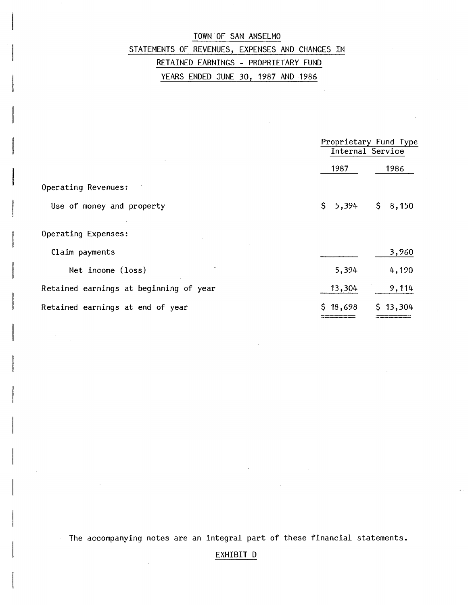# TOWN OF SAN ANSELMO STATEMENTS OF REVENUES, EXPENSES AND CHANGES IN RETAINED EARNINGS - PROPRIETARY FUND YEARS ENDED JUNE 30, 1987 AND 1986

|                                        |          | Proprietary Fund Type<br>Internal Service |
|----------------------------------------|----------|-------------------------------------------|
|                                        | 1987     | 1986                                      |
| Operating Revenues:                    |          |                                           |
| Use of money and property              | \$5,394  | \$8,150                                   |
| Operating Expenses:                    |          |                                           |
| Claim payments                         |          | 3,960                                     |
| Net income (loss)                      | 5,394    | 4,190                                     |
| Retained earnings at beginning of year | 13,304   | 9,114                                     |
| Retained earnings at end of year       | \$18,698 | \$13,304                                  |

The accompanying notes are an integral part of these financial statements.

EXHIBIT D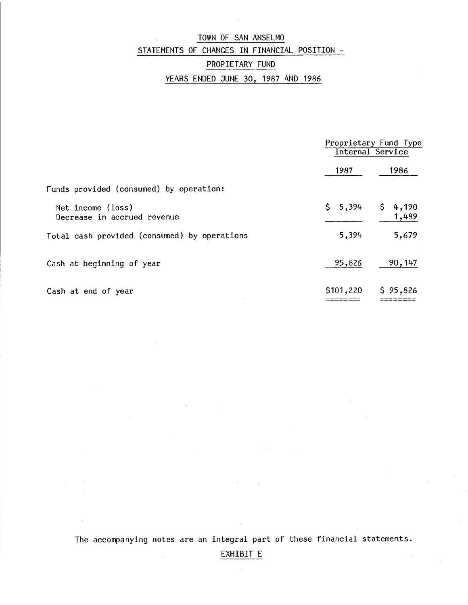# TOWN OF SAN ANSELMO STATEMENTS OF CHANGES IN FINANCIAL POSITION - PROPIETARY FUND YEARS ENDED JUNE 30, 1987 AND 1986

 $\bar{\alpha}$ 

|                                                  |           | Proprietary Fund Type<br>Internal Service |
|--------------------------------------------------|-----------|-------------------------------------------|
|                                                  | 1987      | 1986                                      |
| Funds provided (consumed) by operation:          |           |                                           |
| Net income (loss)<br>Decrease in accrued revenue | \$5,394   | \$.<br>4,190<br>1,489                     |
| Total cash provided (consumed) by operations     | 5,394     | 5,679                                     |
| Cash at beginning of year                        | 95,826    | 90,147                                    |
| Cash at end of year                              | \$101,220 | \$95,826                                  |

The accompanying notes are an integral part of these financial statements.

 $\mathcal{L}_{\mathcal{A}}$ 

 $\mathcal{A}^{\mathcal{A}}$ 

 $\mathcal{A}^{\mathcal{A}}$ 

 $\tau=1$ 

 $\sim$ 

EXHIBIT E  $\bar{z}$ 

 $\sim$   $\sim$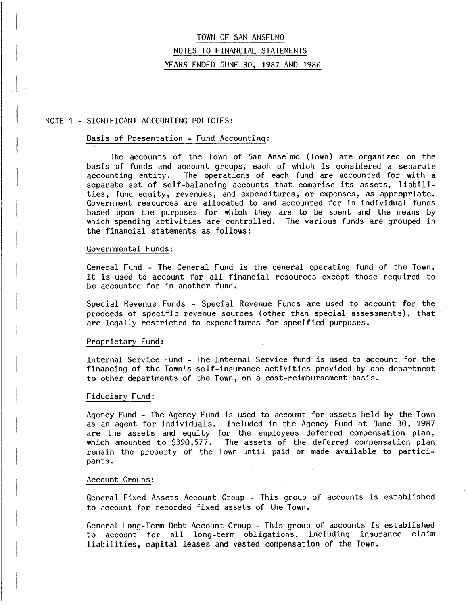#### NOTE 1 - SIGNIFICANT ACCOUNTING POLICIES:

# Basis of Presentation - Fund Accounting:

The accounts of the Town of San Anselmo (Town) are organized on the basis of funds and account groups, each of which is considered a separate accounting entity. The operations of each fund are accounted for with a separate set of self-balancing accounts that comprise its assets, liabilities, fund equity, revenues, and expenditures, or expenses, as appropriate. Government resources are allocated to and accounted for in individual funds based upon the purposes for which they are to be spent and the means by which spending activities are controlled. The various funds are grouped in the financial statements as follows:

### Governmental Funds:

General Fund - The General Fund is the general operating fund of the Town. It is used to account for all financial resources except those required to be accounted for in another fund.

Special Revenue Funds - Special Revenue Funds are used to account for the proceeds of specific revenue sources (other than special assessments), that are legally restricted to expenditures for specified purposes.

#### Proprietary Fund:

Internal Service Fund - The Internal Service fund is used to account for the financing of the Town's self-insurance activities provided by one department to other departments of the Town, on a cost-reimbursement basis.

#### Fiduciary Fund:

Agency Fund - The Agency Fund is used to account for assets held by the Town as an agent for individuals. Included in the Agency Fund at June 30, 1987 are the assets and equity for the employees deferred compensation plan, which amounted to \$390,577. The assets of the deferred compensation plan remain the property of the Town until paid or made available to participants.

### Account Groups:

General Fixed Assets Account Group - This group of accounts is established to account for recorded fixed assets of the Town.

General Long-Term Debt Account Group - This group of accounts is established to account for all long-term obligations, including insurance claim liabilities, capital leases and vested compensation of the Town.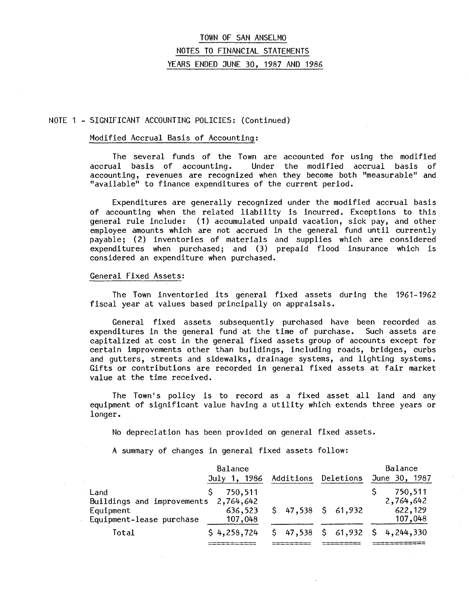# NOTE 1 - SIGNIFICANT ACCOUNTING POLICIES: (Continued)

### Modified Accrual Basis of Accounting:

The several funds of the Town are accounted for using the modified<br>accrual basis of accounting. Under the modified accrual basis of Under the modified accrual basis of accounting, revenues are recognized when they become both "measurable" and "available" to finance expenditures of the current period.

Expenditures are generally recognized under the modified accrual basis of accounting when the related liability is incurred. Exceptions to this general rule include: ( 1) accumulated unpaid vacation, sick pay, and other employee amounts which are not accrued in the general fund until currently payable; (2) inventories of materials and supplies which are considered expenditures when purchased; and (3) prepaid flood insurance which is considered an expenditure when purchased.

#### General Fixed Assets:

The Town inventoried its general fixed assets during the 1961-1962 fiscal year at values based principally on appraisals.

General fixed assets subsequently purchased have been recorded as expenditures in the general fund at the time of purchase. Such assets are capitalized at cost in the general fixed assets group of accounts except for certain improvements other than buildings, including roads, bridges, curbs and gutters, streets and sidewalks, drainage systems, and lighting systems. Gifts or contributions are recorded in general fixed assets at fair market value at the time received.

The Town's policy is to record as a fixed asset all land and any equipment of significant value having a utility which extends three years or longer.

No depreciation has been provided on general fixed assets.

A summary of changes in general fixed assets follow:

|                                                                             | Balance                                    | Balance            |                     |                                            |
|-----------------------------------------------------------------------------|--------------------------------------------|--------------------|---------------------|--------------------------------------------|
|                                                                             | July 1, 1986                               |                    | Additions Deletions | June 30, 1987                              |
| Land<br>Buildings and improvements<br>Equipment<br>Equipment-lease purchase | 750,511<br>2,764,642<br>636,523<br>107,048 | $$47,538$ \$61,932 |                     | 750,511<br>2,764,642<br>622,129<br>107,048 |
| Total                                                                       | \$4,258,724                                |                    |                     | $$47,538$ $$61,932$ $$4,244,330$           |
|                                                                             |                                            |                    |                     |                                            |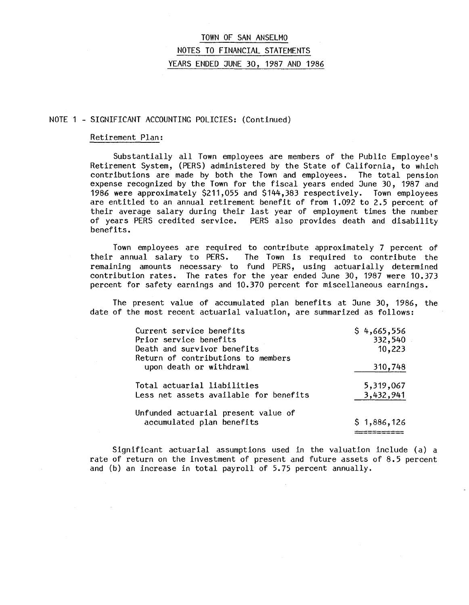# NOTE 1 - SIGNIFICANT ACCOUNTING POLICIES: (Continued)

# Retirement Plan:

Substantially all Town employees are members of the Public Employee's Retirement System, (PERS) administered by the State of California, to which<br>contributions are made by both the Town and employees. The total pension contributions are made by both the Town and employees. expense recognized by the Town for the fiscal years ended June 30, 1987 and 1986 were approximately \$211,055 and \$144,383 respectively. Town employees are entitled to an annual retirement benefit of from 1.092 to 2.5 percent of their average salary during their last year of employment times the number<br>of years PERS credited service. PERS also provides death and disability PERS also provides death and disability benefits.

Town employees are required to contribute approximately 7 percent of<br>their annual salary to PERS. The Town is required to contribute the The Town is required to contribute the remaining amounts necessary' to fund PERS, using actuarially determined contribution rates. The rates for the year ended June 30, 1987 were 10.373 percent for safety earnings and 10.370 percent for miscellaneous earnings.

The present value of accumulated plan benefits at June 30, 1986, the date of the most recent actuarial valuation, are summarized as follows:

| Current service benefits<br>Prior service benefits                    | \$4,665,556<br>332,540 |
|-----------------------------------------------------------------------|------------------------|
| Death and survivor benefits<br>Return of contributions to members     | 10,223                 |
| upon death or withdrawl                                               | 310,748                |
| Total actuarial liabilities<br>Less net assets available for benefits | 5,319,067<br>3,432,941 |
| Unfunded actuarial present value of<br>accumulated plan benefits      | \$1,886,126            |

Significant actuarial assumptions used in the valuation include (a) a rate of return on the investment of present and future assets of 8.5 percent and (b) an increase in total payroll of 5.75 percent annually.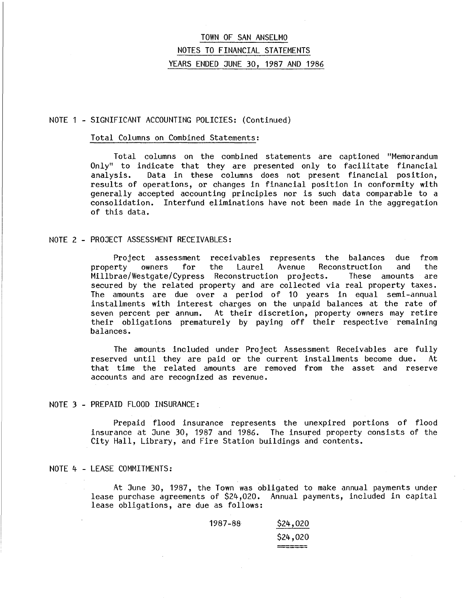# NOTE 1 - SIGNIFICANT ACCOUNTING POLICIES: (Continued)

### Total Columns on Combined Statements:

Total columns on the combined statements are captioned "Memorandum Only" to indicate that they are presented only to facilitate financial<br>analysis. Data in these columns does not present financial position. Data in these columns does not present financial position, results of operations, or changes in financial position in conformity with generally accepted accounting principles nor is such data comparable to a consolidation. Interfund eliminations have not been made in the aggregation of this data.

# NOTE 2 - PROJECT ASSESSMENT RECEIVABLES:

Project assessment receivables represents the balances due from property owners for the Laurel Avenue Reconstruction and the<br>Millbrae/Westgate/Cypress Reconstruction projects. These amounts are Millbrae/Westgate/Cypress Reconstruction projects. These amounts are secured by the related property and are collected via real property taxes. The amounts are due over a period of 10 years in equal semi-annual installments with interest charges on the unpaid balances at the rate of seven percent per annum. At their discretion, property owners may retire their obligations prematurely by paying off their respective remaining balances.

The amounts included under Project Assessment Receivables are fully reserved until they are paid or the current installments become due. At that time the related amounts are removed from the asset and reserve accounts and are recognized as revenue.

#### NOTE 3 - PREPAID FLOOD INSURANCE:

Prepaid flood insurance represents the unexpired portions of flood insurance at June 30, 1987 and 1986. The insured property consists of the City Hall, Library, and Fire Station buildings and contents.

# NOTE 4 - LEASE COMMITMENTS:

At June 30, 1987, the Town was obligated to make annual payments under lease purchase agreements of \$24,020. Annual payments, included in capital lease obligations, are due as follows:

1987-88 \$24,020

\$24,020 **===**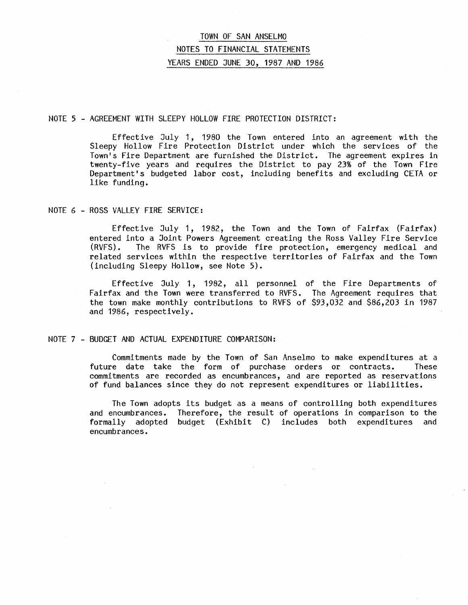# NOTE 5 - AGREEMENT WITH SLEEPY HOLLOW FIRE PROTECTION DISTRICT:

Effective July 1, 1980 the Town entered into an agreement with the Sleepy Hollow Fire Protection District under which the services of the Town's Fire Department are furnished the District. The agreement expires in twenty-five years and requires the District to pay 23% of the Town Fire Department's budgeted labor cost, including benefits and excluding CETA or like funding.

NOTE 6 - ROSS VALLEY FIRE SERVICE:

Effective July 1, 1982, the Town and the Town of Fairfax (Fairfax) entered into a Joint Powers Agreement creating the Ross Valley Fire Service<br>(RVFS). The RVFS is to provide fire protection. emergency medical and The RVFS is to provide fire protection, emergency medical and related services within the respective territories of Fairfax and the Town (including Sleepy Hollow, see Note 5).

Effective July 1, 1982, all personnel of the Fire Departments of Fairfax and the Town were transferred to RVFS. The Agreement requires that the town make monthly contributions to RVFS of \$93,032 and \$86,203 in 1987 and 1986, respectively.

NOTE 7 - BUDGET AND ACTUAL EXPENDITURE COMPARISON:

Commitments made by the Town of San Anselmo to make expenditures at a future date take the form of purchase orders or contracts. These commi tments are recorded as encumbrances, and are reported as reservations of fund balances since they do not represent expenditures or liabilities.

The Town adopts its budget as a means of controlling both expenditures and encumbrances. Therefore, the result of operations in comparison to the formally adopted budget (Exhibit C) includes both expenditures and encumbrances.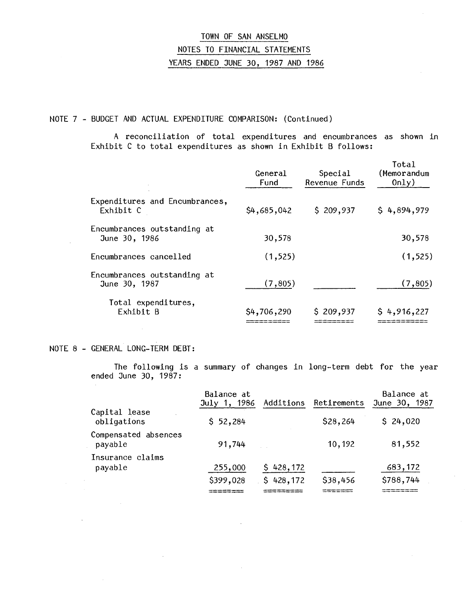# NOTE 7 - BUDGET AND ACTUAL EXPENDITURE COMPARISON: (Continued)

A reconciliation of total expenditures and encumbrances as shown in Exhibit C to total expenditures as shown in Exhibit B follows:

|                                              | General<br>Fund | Special<br>Revenue Funds | Total<br>(Memorandum<br>0nly) |
|----------------------------------------------|-----------------|--------------------------|-------------------------------|
| Expenditures and Encumbrances,<br>Exhibit C  | \$4,685,042     | \$209,937                | \$4,894,979                   |
| Encumbrances outstanding at<br>June 30, 1986 | 30,578          |                          | 30,578                        |
| Encumbrances cancelled                       | (1, 525)        |                          | (1, 525)                      |
| Encumbrances outstanding at<br>June 30, 1987 | (7, 805)        |                          | (7, 805)                      |
| Total expenditures,<br>Exhibit B             | \$4,706,290     | \$209,937                | \$4,916,227                   |

# NOTE 8 - GENERAL LONG-TERM DEBT:

 $\sim$ 

 $\sim$ 

 $\overline{a}$ 

The following is a summary of changes in long-term debt for the year ended June 30, 1987:

|                                 | Balance at<br>July 1, 1986 | Additions | Retirements | Balance at<br>June 30, 1987 |
|---------------------------------|----------------------------|-----------|-------------|-----------------------------|
| Capital lease<br>obligations    | \$52,284                   |           | \$28,264    | \$24,020                    |
| Compensated absences<br>payable | 91,744                     |           | 10,192      | 81,552                      |
| Insurance claims<br>payable     | 255,000                    | \$428,172 |             | 683,172                     |
|                                 | \$399,028                  | \$428,172 | \$38,456    | \$788,744                   |
|                                 |                            |           |             |                             |

 $\mathcal{L}$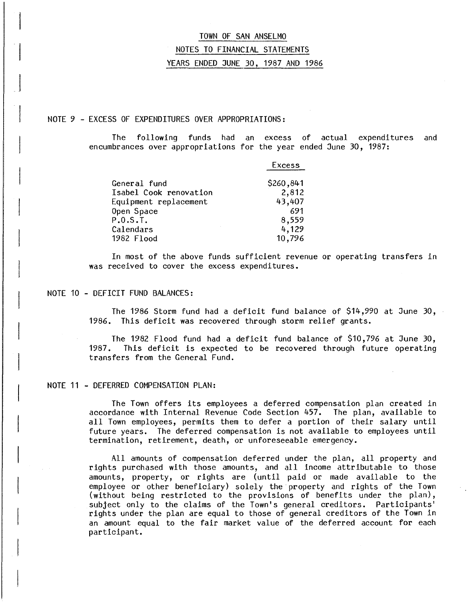# NOTE 9 - EXCESS OF EXPENDITURES OVER APPROPRIATIONS:

The following funds had an excess of actual expenditures and encumbrances over appropriations for the year ended June 30, 1987:

|                        | Excess    |
|------------------------|-----------|
| General fund           | \$260,841 |
| Isabel Cook renovation | 2,812     |
| Equipment replacement  | 43,407    |
| Open Space             | 691       |
| P.O.S.T.               | 8,559     |
| Calendars              | 4,129     |
| 1982 Flood             | 10,796    |

In most of the above funds sufficient revenue or operating transfers in was received to cover the excess expenditures.

#### NOTE 10 - DEFICIT FUND BALANCES:

I

**International** 

The 1986 Storm fund had a deficit fund balance of \$14,990 at June 30, 1986. This deficit was recovered through storm relief grants.

The 1982 Flood fund had a deficit fund balance of \$10,796 at June 30,<br>1987. This deficit is expected to be recovered through future operating This deficit is expected to be recovered through future operating transfers from the General Fund.

#### NOTE 11 - DEFERRED COMPENSATION PLAN:

The Town offers its employees a deferred compensation plan created in accordance with Internal Revenue Code Section 457. The plan, available to all Town employees, permits them to defer a portion of their salary until future years. The deferred compensation is not available to employees until termination, retirement, death, or unforeseeable emergency.

All amounts of compensation deferred under the plan, all property and rights purchased with those amounts, and all income attributable to those amounts, property, or rights are (until paid or made available to the employee or other beneficiary) solely the property and rights of the Town (without being restricted to the provisions of benefits under the plan), subject only to the claims of the Town's general creditors. Participants' rights under the plan are equal to those of general creditors of the Town in an amount equal to the fair market value of the deferred account for each participant.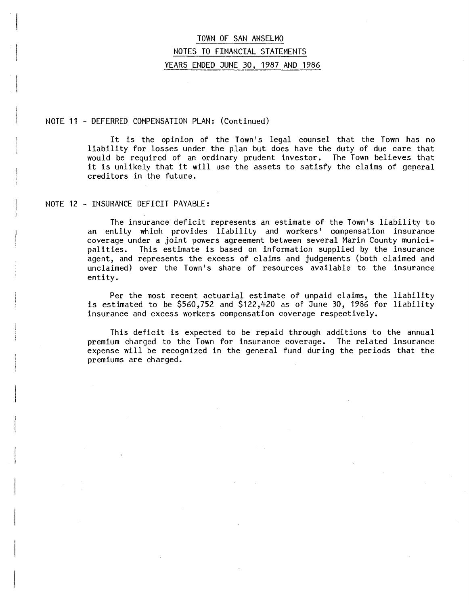# NOTE **11** - DEFERRED COMPENSATION PLAN: (Continued)

It is the opinion of the Town's legal counsel that the Town has no liability for losses under the plan but does have the duty of due care that would be required of an ordinary prudent investor. The Town believes that it is unlikely that it will use the assets to satisfy the claims of general creditors in the future.

#### NOTE 12 - INSURANCE DEFICIT PAYABLE:

The insurance deficit represents an estimate of the Town's liability to an entity which provides liability and workers' compensation insurance coverage under a joint powers agreement between several Marin County municipalities. This estimate is based on information supplied by the insurance agent, and represents the excess of claims and judgements (both claimed and unclaimed) over the Town's share of resources available to the insurance entity.

Per the most recent actuarial estimate of unpaid claims, the liability is estimated to be \$560,752 and \$122,420 as of June 30, 1986 for liability insurance and excess workers compensation coverage respectively.

This deficit is expected to be repaid through additions to the annual premium charged to the Town for insurance coverage. The related insurance expense will be recognized in the general fund during the periods that the premiums are charged.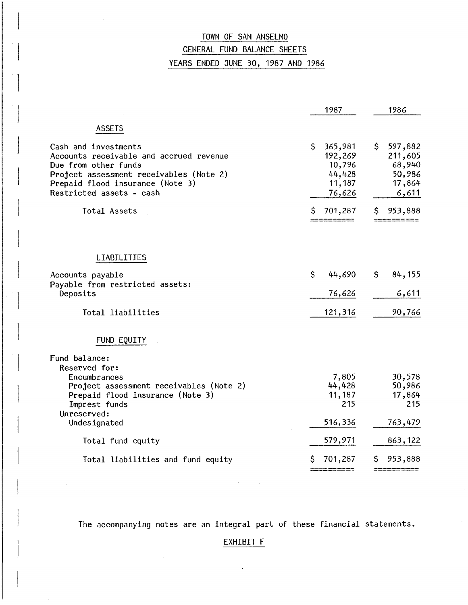# TOWN OF SAN ANSELMO GENERAL FUND BALANCE SHEETS

YEARS ENDED JUNE 30, 1987 AND 1986

**International Property** 

 $\sim$ 

|                                                                                                                                                                                                    | 1987                                                              | 1986                                                            |
|----------------------------------------------------------------------------------------------------------------------------------------------------------------------------------------------------|-------------------------------------------------------------------|-----------------------------------------------------------------|
| <b>ASSETS</b>                                                                                                                                                                                      |                                                                   |                                                                 |
| Cash and investments<br>Accounts receivable and accrued revenue<br>Due from other funds<br>Project assessment receivables (Note 2)<br>Prepaid flood insurance (Note 3)<br>Restricted assets - cash | 365,981<br>\$.<br>192,269<br>10,796<br>44,428<br>11,187<br>76,626 | 597,882<br>S.<br>211,605<br>68,940<br>50,986<br>17,864<br>6,611 |
| Total Assets                                                                                                                                                                                       | 701,287<br>S                                                      | 953,888                                                         |
| LIABILITIES                                                                                                                                                                                        |                                                                   |                                                                 |
| Accounts payable<br>Payable from restricted assets:                                                                                                                                                | \$<br>44,690                                                      | \$<br>84,155                                                    |
| Deposits                                                                                                                                                                                           | 76,626                                                            | 6,611                                                           |
| Total liabilities                                                                                                                                                                                  | 121,316                                                           | 90,766                                                          |
| FUND EQUITY                                                                                                                                                                                        |                                                                   |                                                                 |
| Fund balance:<br>Reserved for:<br>Encumbrances<br>Project assessment receivables (Note 2)<br>Prepaid flood insurance (Note 3)<br>Imprest funds<br>Unreserved:<br>Undesignated                      | 7,805<br>44,428<br>11,187<br>215<br>516,336                       | 30,578<br>50,986<br>17,864<br>215<br>763,479                    |
|                                                                                                                                                                                                    |                                                                   |                                                                 |
| Total fund equity                                                                                                                                                                                  | 579,971                                                           | 863,122                                                         |
| Total liabilities and fund equity                                                                                                                                                                  | 701,287<br>========                                               | 953,888<br>S<br>==========                                      |

The accompanying notes are an integral part of these financial statements.

 $\sim 10^{-11}$ 

 $\sim 10$ 

 $\mathcal{A}$ 

# EXHIBIT F

 $\bar{z}$ 

 $\bar{z}$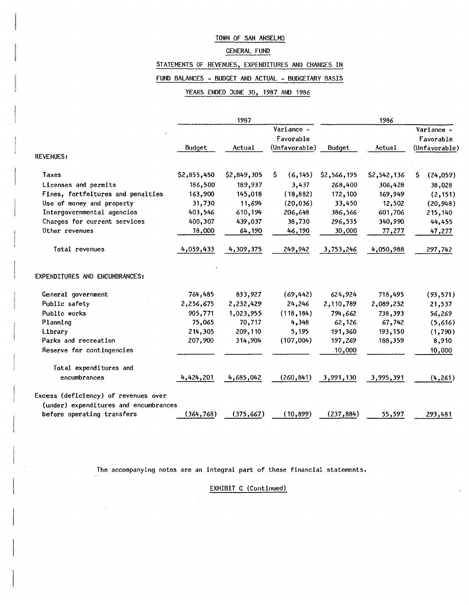# GENERAL FUND

# STATEMENTS OF REVENUES, EXPENDITURES AND CHANGES IN

# FUND BALANCES - BUDGET AND ACTUAL - BUDGETARY BASIS

# YEARS ENDED JUNE 30, 1987 AND 1986

|                                       |             | 1987        |                                          | 1986        |             |                                          |  |  |  |
|---------------------------------------|-------------|-------------|------------------------------------------|-------------|-------------|------------------------------------------|--|--|--|
|                                       | Budget      | Actual      | Variance -<br>Favorable<br>(Unfavorable) | Budget      | Actual      | Variance -<br>Favorable<br>(Unfavorable) |  |  |  |
| <b>REVENUES:</b>                      |             |             |                                          |             |             |                                          |  |  |  |
| Taxes                                 | \$2,855,450 | \$2,849,305 | S.<br>(6, 145)                           | \$2,566,195 | \$2,542,136 | S<br>(24, 059)                           |  |  |  |
| Licenses and permits                  | 186,500     | 189,937     | 3,437                                    | 268,400     | 306,428     | 38,028                                   |  |  |  |
| Fines, fortfeitures and penalties     | 163,900     | 145,018     | (18, 882)                                | 172,100     | 169,949     | (2, 151)                                 |  |  |  |
| Use of money and property             | 31,730      | 11,694      | (20, 036)                                | 33,450      | 12,502      | (20, 948)                                |  |  |  |
| Intergovernmental agencies            | 403,546     | 610,194     | 206,648                                  | 386,566     | 601,706     | 215,140                                  |  |  |  |
| Charges for current services          | 400,307     | 439,037     | 38,730                                   | 296,535     | 340,990     | 44,455                                   |  |  |  |
| Other revenues                        | 18,000      | 64,190      | 46,190                                   | 30,000      | 77,277      | 47,277                                   |  |  |  |
| Total revenues                        | 4,059,433   | 4,309,375   | 249,942                                  | 3,753,246   | 4,050,988   | 297,742                                  |  |  |  |
| EXPENDITURES AND ENCUMBRANCES:        |             |             |                                          |             |             |                                          |  |  |  |
| General government                    | 764,485     | 833,927     | (69, 442)                                | 624,924     | 718,495     | (93, 571)                                |  |  |  |
| Public safety                         | 2,256,675   | 2,232,429   | 24,246                                   | 2,110,789   | 2,089,252   | 21,537                                   |  |  |  |
| Public works                          | 905,771     | 1,023,955   | (118, 184)                               | 794,662     | 738,393     | 56,269                                   |  |  |  |
| Planning                              | 75,065      | 70,717      | 4,348                                    | 62,126      | 67,742      | (5,616)                                  |  |  |  |
| Library                               | 214,305     | 209,110     | 5,195                                    | 191,360     | 193,150     | (1,790)                                  |  |  |  |
| Parks and recreation                  | 207,900     | 314,904     | (107,004)                                | 197,269     | 188,359     | 8,910                                    |  |  |  |
| Reserve for contingencies             |             |             |                                          | 10,000      |             | 10,000                                   |  |  |  |
| Total expenditures and                |             |             |                                          |             |             |                                          |  |  |  |
| encumbrances                          | 4,424,201   | 4,685,042   | (260, 841)                               | 3,991,130   | 3,995,391   | (4,261)                                  |  |  |  |
| Excess (deficiency) of revenues over  |             |             |                                          |             |             |                                          |  |  |  |
| (under) expenditures and encumbrances |             |             |                                          |             |             |                                          |  |  |  |
| before operating transfers            | (364, 768)  | (375, 667)  | (10, 899)                                | (237, 884)  | 55,597      | 293,481                                  |  |  |  |

The accompanying notes are an integral part of these financial statements.

EXHIBIT G (Continued)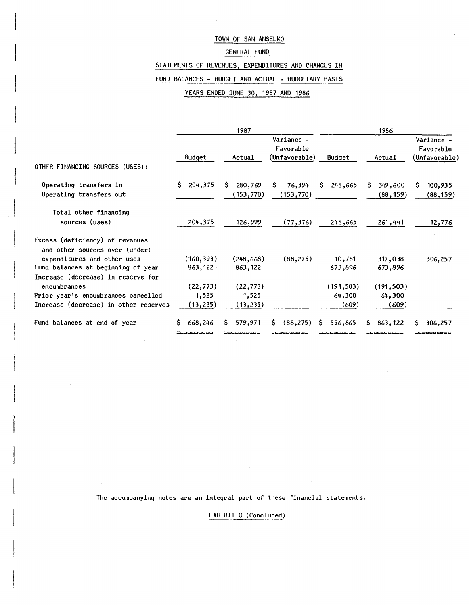$\bar{z}$ 

# GENERAL FUND

STATEMENTS OF REVENUES, EXPENDITURES AND CHANGES IN

FUND BALANCES - BUDGET AND ACTUAL - BUDGETARY BASIS

YEARS ENDED JUNE 30, 1987 AND 1986

|                                                                   |                      | 1987                        |                                          |                         | 1986                         |                                          |  |
|-------------------------------------------------------------------|----------------------|-----------------------------|------------------------------------------|-------------------------|------------------------------|------------------------------------------|--|
| OTHER FINANCING SOURCES (USES):                                   | Budget               | Actual                      | Variance -<br>Favorable<br>(Unfavorable) | Budget                  | Actual                       | Variance -<br>Favorable<br>(Unfavorable) |  |
|                                                                   |                      |                             |                                          |                         |                              |                                          |  |
| Operating transfers in<br>Operating transfers out                 | S<br>204,375         | 280,769<br>S.<br>(153, 770) | S.<br>76,394<br>(153, 770)               | S.<br>248,665           | 349,600<br>S.<br>(88, 159)   | S<br>100,935<br>(88, 159)                |  |
| Total other financing                                             |                      |                             |                                          |                         |                              |                                          |  |
| sources (uses)                                                    | 204,375              | 126,999                     | (77,376)                                 | 248,665                 | 261,441                      | 12,776                                   |  |
| Excess (deficiency) of revenues<br>and other sources over (under) |                      |                             |                                          |                         |                              |                                          |  |
| expenditures and other uses                                       | (160, 393)           | (248, 668)                  | (88, 275)                                | 10,781                  | 317,038                      | 306,257                                  |  |
| Fund balances at beginning of year                                | 863,122              | 863,122                     |                                          | 673,896                 | 673,896                      |                                          |  |
| Increase (decrease) in reserve for<br>encumbrances                | (22, 773)            | (22, 773)                   |                                          | (191, 503)              | (191, 503)                   |                                          |  |
| Prior year's encumbrances cancelled                               | 1,525                | 1,525                       |                                          | 64,300                  | 64,300                       |                                          |  |
| Increase (decrease) in other reserves                             | (13, 235)            | (13, 235)                   |                                          | (609)                   | (609)                        |                                          |  |
| Fund balances at end of year                                      | 668,246<br>========= | 579,971<br>S.<br>2003222223 | (88, 275)<br>S.<br>523330002             | 556,865<br>s<br>======= | 863, 122<br>S.<br>5000CC90G3 | 306,257<br>seesseec                      |  |

The accompanying notes are an integral part of these financial statements.

EXHIBIT G (Concluded)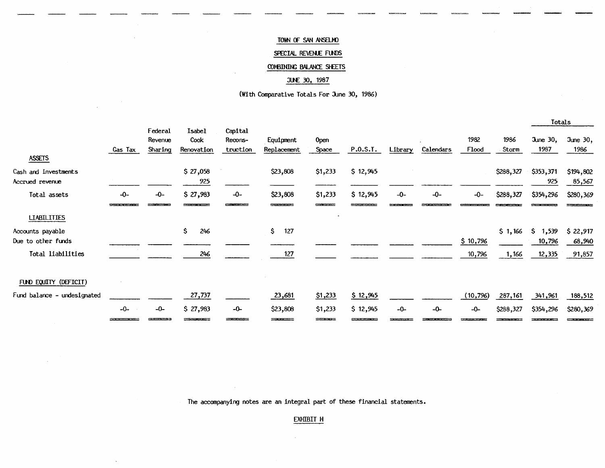# SPECIAL REVENUE FUNDS

# COMBINING BALANCE SHEETS

# JUNE 30, 1987

# (With Comparative Totals For June 30, 1986)

|                                                             |         |                               |                              |                                |                          |                           |                      |         |           |                    |                      | Totals                      |                                                                      |
|-------------------------------------------------------------|---------|-------------------------------|------------------------------|--------------------------------|--------------------------|---------------------------|----------------------|---------|-----------|--------------------|----------------------|-----------------------------|----------------------------------------------------------------------|
| <b>ASSETS</b>                                               | Gas Tax | Federal<br>Revenue<br>Sharing | Isabel<br>Cook<br>Renovation | Capital<br>Recons-<br>truction | Equipment<br>Replacement | 0 <sub>pen</sub><br>Space | P.0.S.T.             | Library | Calendars | 1982<br>Flood      | 1986<br>Storm        | June 30,<br>1987            | June 30,<br>1986                                                     |
| Cash and investments<br>Accrued revenue                     |         |                               | \$27,058<br>925              |                                | \$23,808                 | \$1,233                   | \$12,945             |         |           |                    | \$288,327            | \$353,371<br>925            | \$194,802<br>85,567                                                  |
| Total assets                                                | $-0-$   | $-0-$                         | \$27,983                     | $-0-$                          | \$23,808                 | \$1,233                   | \$12,945             | $-0-$   | $-0-$     | $-0-$              | \$288,327            | \$354,296                   | \$280,369                                                            |
| <b>LIABILITIES</b>                                          |         |                               |                              |                                |                          |                           |                      |         |           |                    |                      |                             |                                                                      |
| Accounts payable<br>Due to other funds<br>Total liabilities |         |                               | \$<br>246<br>246             |                                | \$<br>127<br>127         |                           |                      |         |           | \$10,796<br>10,796 | \$1,166<br>1,166     | \$1,539<br>10,796<br>12,335 | \$22,917<br>68,940<br>91,857                                         |
| FUND EQUITY (DEFICIT)                                       |         |                               |                              |                                |                          |                           |                      |         |           |                    |                      |                             |                                                                      |
| Fund balance - undesignated                                 | $-0-$   | $-0-$                         | 27,737<br>\$27,983           | $-0-$                          | 23,681<br>\$23,808       | \$1,233<br>\$1,233        | \$12,945<br>\$12,945 | $-0-$   | $-0-$     | (10, 796)<br>$-0-$ | 287,161<br>\$288,327 | 341,961<br>\$354,296        | 188,512<br>\$280,369<br><b><i><u>CONTRACTORS COMMUNISTIC</u></i></b> |

The accompanying notes are an integral part of these financial statements.

 $\sim$ 

# EXHIBIT H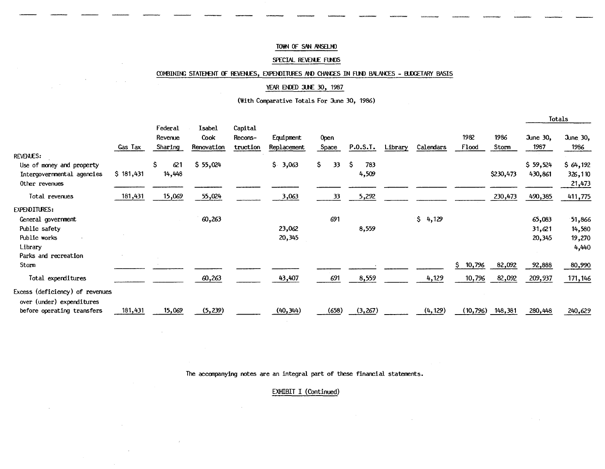# SPECIAL REVENLE FUNDS

# COMBINING STATEMENT OF REVENUES, EXPENDITURES AND CHANGES IN FUND BALANCES - BUDGETARY BASIS

#### YEAR ENDED JUNE 30, 1987

 $\sim$ 

 $\sim 10$ 

(With Comparative Totals For June 30, 1986)

|                                                              |           |                               |                              |                                |                          |               |          |         |           |               |               | Totals           |                         |
|--------------------------------------------------------------|-----------|-------------------------------|------------------------------|--------------------------------|--------------------------|---------------|----------|---------|-----------|---------------|---------------|------------------|-------------------------|
|                                                              | Gas Tax   | Federal<br>Revenue<br>Sharing | Isabel<br>Cook<br>Renovation | Capital<br>Recons-<br>truction | Equipment<br>Replacement | Open<br>Space | P.0.5.T. | Library | Calendars | 1982<br>Flood | 1986<br>Storm | June 30,<br>1987 | <b>June 30,</b><br>1986 |
| REVENUES:<br>Use of money and property                       |           | \$.<br>621                    | \$55,024                     |                                | $S -$<br>3,063           | \$.<br>33     | 783<br>S |         |           |               |               | \$59,524         | \$64,192                |
| Intergovernmental agencies<br>Other revenues                 | \$181,431 | 14,448                        |                              |                                |                          |               | 4,509    |         |           |               | \$230,473     | 430,861          | 326,110<br>21,473       |
| Total revenues                                               | 181,431   | 15,069                        | 55,024                       |                                | 3,063                    | 33            | 5,292    |         |           |               | 230,473       | 490,385          | 411,775                 |
| EXPENDITURES:                                                |           |                               |                              |                                |                          |               |          |         |           |               |               |                  |                         |
| General government                                           |           |                               | 60,263                       |                                |                          | 691           |          |         | \$4,129   |               |               | 65,083           | 51,866                  |
| Public safety                                                |           |                               |                              |                                | 23,062                   |               | 8,559    |         |           |               |               | 31,621           | 14,580                  |
| Public works                                                 |           |                               |                              |                                | 20,345                   |               |          |         |           |               |               | 20,345           | 19,270                  |
| Library                                                      |           |                               |                              |                                |                          |               |          |         |           |               |               |                  | 4,440                   |
| Parks and recreation                                         |           |                               |                              |                                |                          |               |          |         |           |               |               |                  |                         |
| Storm                                                        |           |                               |                              |                                |                          |               |          |         |           | \$.<br>10,796 | 82,092        | 92,888           | 80,990                  |
| Total expenditures                                           |           |                               | 60,263                       |                                | 43,407                   | 691           | 8,559    |         | 4,129     | 10,796        | 82,092        | 209,937          | 171,146                 |
| Excess (deficiency) of revenues<br>over (under) expenditures |           |                               |                              |                                |                          |               |          |         |           |               |               |                  |                         |
| before operating transfers                                   | 181,431   | 15,069                        | (5, 239)                     |                                | (40, 344)                | (658)         | (3,267)  |         | (4, 129)  | (10, 796)     | 148,381       | 280,448          | 240,629                 |

The accanpanying notes are an integral part of these financial statements.

EXHIBIT I (Continued)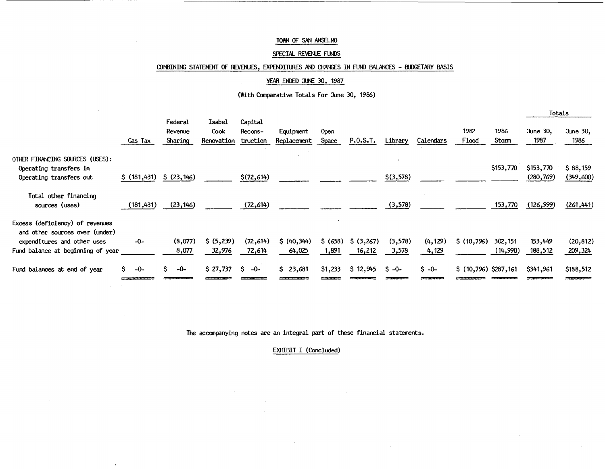# SPECIAL REVENLE FUNDS

# COMBINING STATEMENT OF REVENUES, EXPENDITURES AND CHANGES IN FUND BALANCES - BUDGETARY BASIS

#### YEAR ENDED JUNE 30, 1987

(With Comparative Totals For June 30, 1986)

|                                                                                                                                       |              |                               |                              |                                |                          |                   |                      |                   |                   |                        |                     | Totals                  |                                     |
|---------------------------------------------------------------------------------------------------------------------------------------|--------------|-------------------------------|------------------------------|--------------------------------|--------------------------|-------------------|----------------------|-------------------|-------------------|------------------------|---------------------|-------------------------|-------------------------------------|
|                                                                                                                                       | Gas Tax      | Federal<br>Revenue<br>Sharing | Isabel<br>Cook<br>Renovation | Capital<br>Recons-<br>truction | Equipment<br>Replacement | 0pen<br>Space     | P.O.S.T.             | Library           | Calendars         | 1982<br>Flood          | 1986<br>Storm       | <b>June 30,</b><br>1987 | <b>June 30,</b><br>1986             |
| OTHER FINANCING SOURCES (USES):<br>Operating transfers in<br>Operating transfers out                                                  | \$(181, 431) | \$ (23, 146)                  |                              | \$(72,614)                     |                          |                   |                      | $$$ (3,578)       |                   |                        | \$153,770           | \$153,770<br>(280, 769) | \$88,159<br>(349,600)               |
| Total other financing<br>sources (uses)                                                                                               | (181, 431)   | (23, 146)                     |                              | (72,614)                       |                          |                   |                      | (3, 578)          |                   |                        | 153,770             | (126, 999)              | (261, 441)                          |
| Excess (deficiency) of revenues<br>and other sources over (under)<br>expenditures and other uses<br>Fund balance at beginning of year | $-0-$        | (8,077)<br>8,077              | \$ (5,239)<br>32,976         | (72, 614)<br>72,614            | \$ (40,344)<br>64,025    | \$ (658)<br>1,891 | \$ (3,267)<br>16,212 | (3, 578)<br>3,578 | (4, 129)<br>4,129 | \$(10,7%)              | 302,151<br>(14,990) | 153,449<br>188,512      | (20, 812)<br>209,324                |
| Fund balances at end of year                                                                                                          | S.<br>$-0-$  | S.<br>$-0-$                   | \$27,737                     | S.<br>$-0-$                    | \$23,681                 | \$1,233           | \$12,945             | $S - 0 -$         | $S - 0 -$         | $$$ (10,796) \$287,161 |                     | \$341,961               | \$188,512<br><b>TANZA DE ALTIMA</b> |

The accanpanylng notes are an integral part of these financial statements.

#### EXHIBIT I (Concluded)

 $\lambda$ 

 $\mathbb{Z}^2$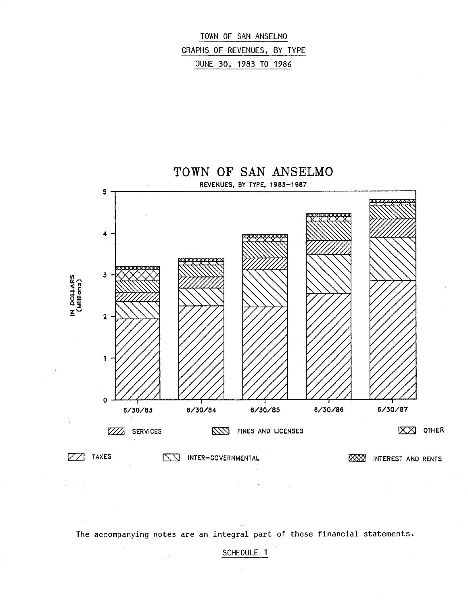TOWN OF SAN ANSELMO GRAPHS OF REVENUES, BY TYPE JUNE 30, 1983 TO 1986



The accompanying notes are an integral part of these financial statements.

 $\sim 10^{11}$  km  $^{-1}$ 

 $\sim$ 

 $\sim 10^{11}$ 

 $\mathcal{L}^{\text{max}}_{\text{max}}$  ,  $\mathcal{L}^{\text{max}}_{\text{max}}$ 

SCHEDULE 1

 $\sim 10^{11}$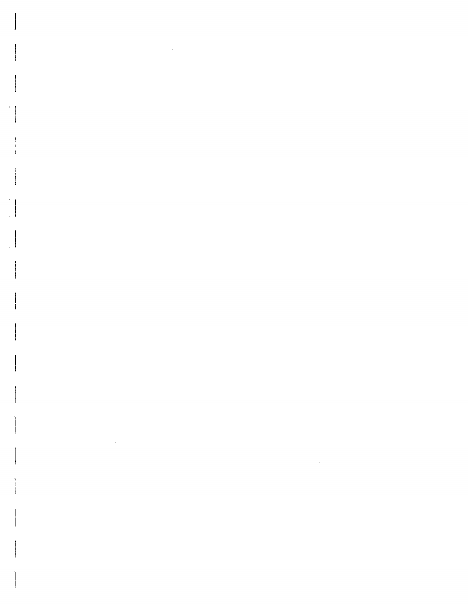$\rightarrow$   $\rightarrow$ 

 $\mathbb{R}^2$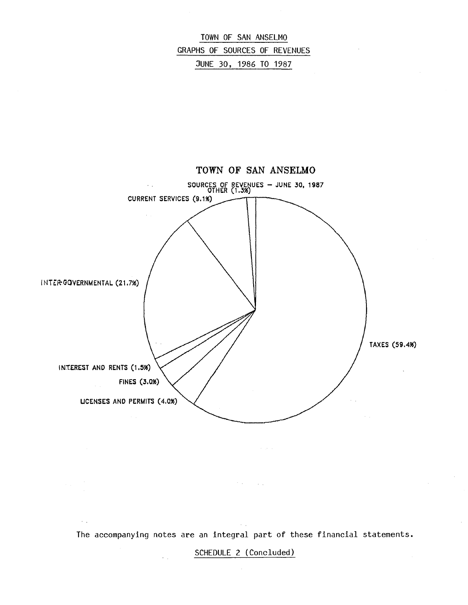TOWN OF SAN ANSELMO GRAPHS OF SOURCES OF REVENUES JUNE 30, 1986 TO 1987

 $\sim$ 

 $\bar{\mathcal{A}}$ 



The accompanying notes are an integral part of these financial statements. SCHEDULE 2 (Concluded)  $\mathcal{L}(\mathcal{Q})$ 

 $\sim$   $\sim$ 

 $\mathcal{O}(\mathcal{O}(\log n))$  and

 $\sim 10^{11}$  km s  $^{-1}$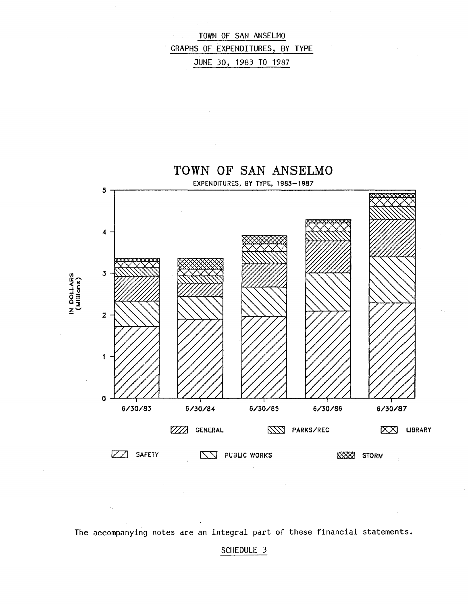TOWN OF SAN ANSELMO GRAPHS OF EXPENDITURES, BY TYPE JUNE 30, 1983 TO 1987



The accompanying notes are an integral part of these financial statements.

 $\bar{\mathcal{A}}$ 

SCHEDULE 3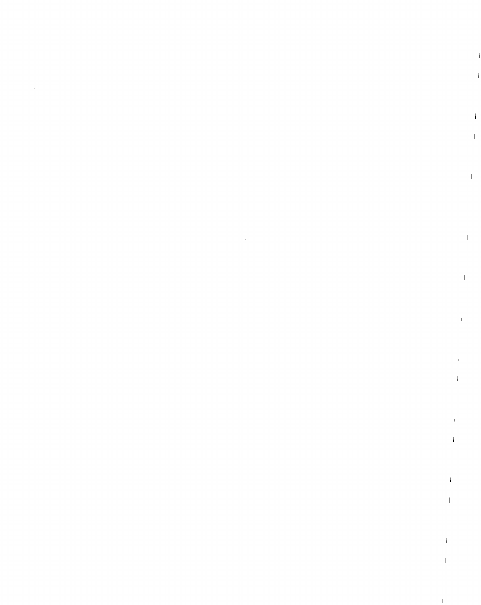$\label{eq:2.1} \frac{1}{\sqrt{2}}\left(\frac{1}{\sqrt{2}}\right)^{2} \left(\frac{1}{\sqrt{2}}\right)^{2} \left(\frac{1}{\sqrt{2}}\right)^{2} \left(\frac{1}{\sqrt{2}}\right)^{2} \left(\frac{1}{\sqrt{2}}\right)^{2} \left(\frac{1}{\sqrt{2}}\right)^{2} \left(\frac{1}{\sqrt{2}}\right)^{2} \left(\frac{1}{\sqrt{2}}\right)^{2} \left(\frac{1}{\sqrt{2}}\right)^{2} \left(\frac{1}{\sqrt{2}}\right)^{2} \left(\frac{1}{\sqrt{2}}\right)^{2} \left(\$  $\label{eq:2.1} \frac{1}{\sqrt{2}}\left(\frac{1}{\sqrt{2}}\right)^{2} \left(\frac{1}{\sqrt{2}}\right)^{2} \left(\frac{1}{\sqrt{2}}\right)^{2} \left(\frac{1}{\sqrt{2}}\right)^{2} \left(\frac{1}{\sqrt{2}}\right)^{2} \left(\frac{1}{\sqrt{2}}\right)^{2} \left(\frac{1}{\sqrt{2}}\right)^{2} \left(\frac{1}{\sqrt{2}}\right)^{2} \left(\frac{1}{\sqrt{2}}\right)^{2} \left(\frac{1}{\sqrt{2}}\right)^{2} \left(\frac{1}{\sqrt{2}}\right)^{2} \left(\$  $\|$  $\bar{1}$  $\mathbf{1}$  $\mathbf{1}$  $\mathbb{F}$  $\|$  $\mathbf{L}$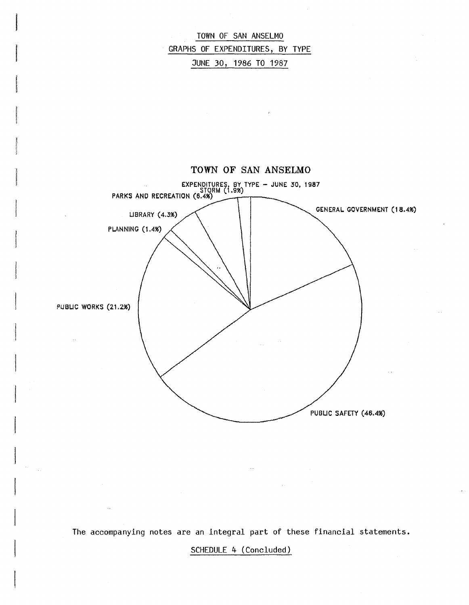TOWN OF SAN ANSELMO GRAPHS OF EXPENDITURES, BY TYPE JUNE 30, 1986 TO 1987



The accompanying notes are an integral part of these financial statements.

 $\sim 10^{-1}$ 

SCHEDULE 4 (Concluded)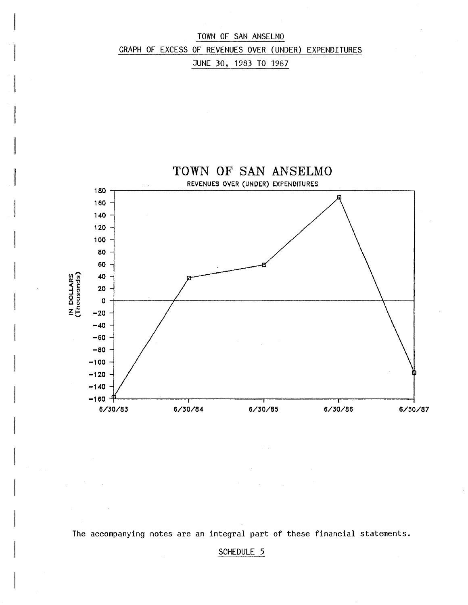# TOWN OF SAN ANSELMO GRAPH OF EXCESS OF REVENUES OVER (UNDER) EXPENDITURES JUNE 30, 1983 TO 1987



The accompanying notes are an integral part of these financial statements.

SCHEDULE 5